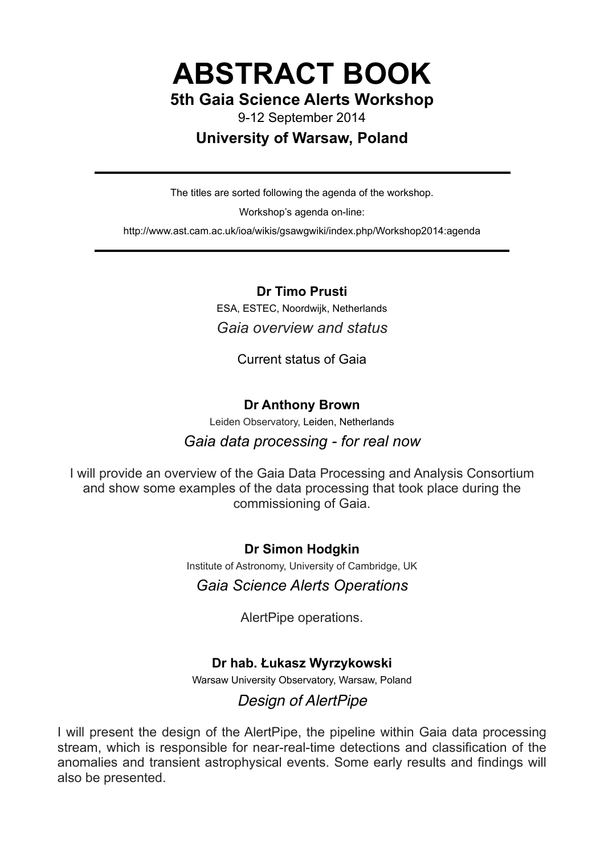**ABSTRACT BOOK** 

# **5th Gaia Science Alerts Workshop**

9-12 September 2014

# **University of Warsaw, Poland**

The titles are sorted following the agenda of the workshop.

Workshop's agenda on-line:

http://www.ast.cam.ac.uk/ioa/wikis/gsawgwiki/index.php/Workshop2014:agenda

# **Dr Timo Prusti**

ESA, ESTEC, Noordwijk, Netherlands *Gaia overview and status* 

Current status of Gaia

# **Dr Anthony Brown**

Leiden Observatory, Leiden, Netherlands

# *Gaia data processing - for real now*

I will provide an overview of the Gaia Data Processing and Analysis Consortium and show some examples of the data processing that took place during the commissioning of Gaia.

**Dr Simon Hodgkin** 

Institute of Astronomy, University of Cambridge, UK

# *Gaia Science Alerts Operations*

AlertPipe operations.

# **Dr hab. Łukasz Wyrzykowski**

Warsaw University Observatory, Warsaw, Poland

# *Design of AlertPipe*

I will present the design of the AlertPipe, the pipeline within Gaia data processing stream, which is responsible for near-real-time detections and classification of the anomalies and transient astrophysical events. Some early results and findings will also be presented.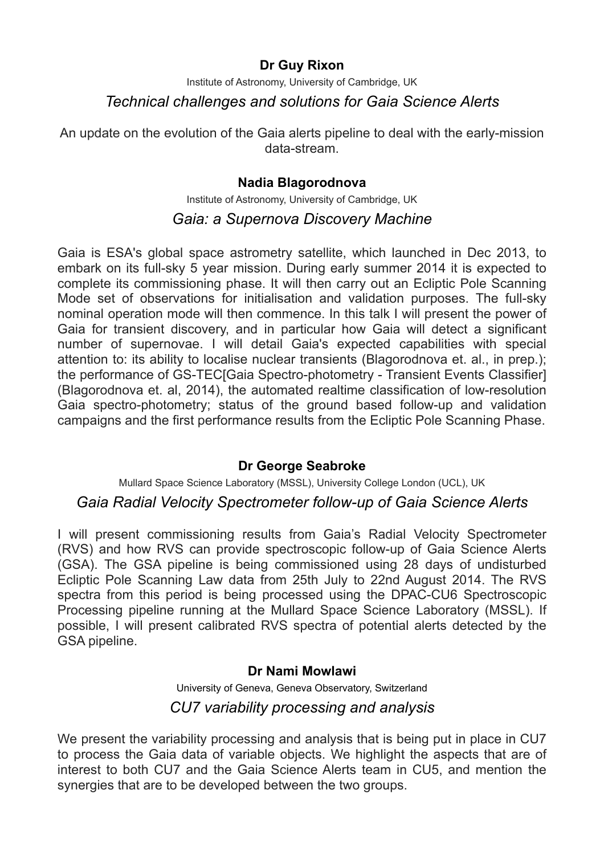# **Dr Guy Rixon**

Institute of Astronomy, University of Cambridge, UK

# *Technical challenges and solutions for Gaia Science Alerts*

An update on the evolution of the Gaia alerts pipeline to deal with the early-mission data-stream.

# **Nadia Blagorodnova**

Institute of Astronomy, University of Cambridge, UK

# *Gaia: a Supernova Discovery Machine*

Gaia is ESA's global space astrometry satellite, which launched in Dec 2013, to embark on its full-sky 5 year mission. During early summer 2014 it is expected to complete its commissioning phase. It will then carry out an Ecliptic Pole Scanning Mode set of observations for initialisation and validation purposes. The full-sky nominal operation mode will then commence. In this talk I will present the power of Gaia for transient discovery, and in particular how Gaia will detect a significant number of supernovae. I will detail Gaia's expected capabilities with special attention to: its ability to localise nuclear transients (Blagorodnova et. al., in prep.); the performance of GS-TEC[Gaia Spectro-photometry - Transient Events Classifier] (Blagorodnova et. al, 2014), the automated realtime classification of low-resolution Gaia spectro-photometry; status of the ground based follow-up and validation campaigns and the first performance results from the Ecliptic Pole Scanning Phase.

## **Dr George Seabroke**

Mullard Space Science Laboratory (MSSL), University College London (UCL), UK

# *Gaia Radial Velocity Spectrometer follow-up of Gaia Science Alerts*

I will present commissioning results from Gaia's Radial Velocity Spectrometer (RVS) and how RVS can provide spectroscopic follow-up of Gaia Science Alerts (GSA). The GSA pipeline is being commissioned using 28 days of undisturbed Ecliptic Pole Scanning Law data from 25th July to 22nd August 2014. The RVS spectra from this period is being processed using the DPAC-CU6 Spectroscopic Processing pipeline running at the Mullard Space Science Laboratory (MSSL). If possible, I will present calibrated RVS spectra of potential alerts detected by the GSA pipeline.

## **Dr Nami Mowlawi**

University of Geneva, Geneva Observatory, Switzerland *CU7 variability processing and analysis* 

We present the variability processing and analysis that is being put in place in CU7 to process the Gaia data of variable objects. We highlight the aspects that are of interest to both CU7 and the Gaia Science Alerts team in CU5, and mention the synergies that are to be developed between the two groups.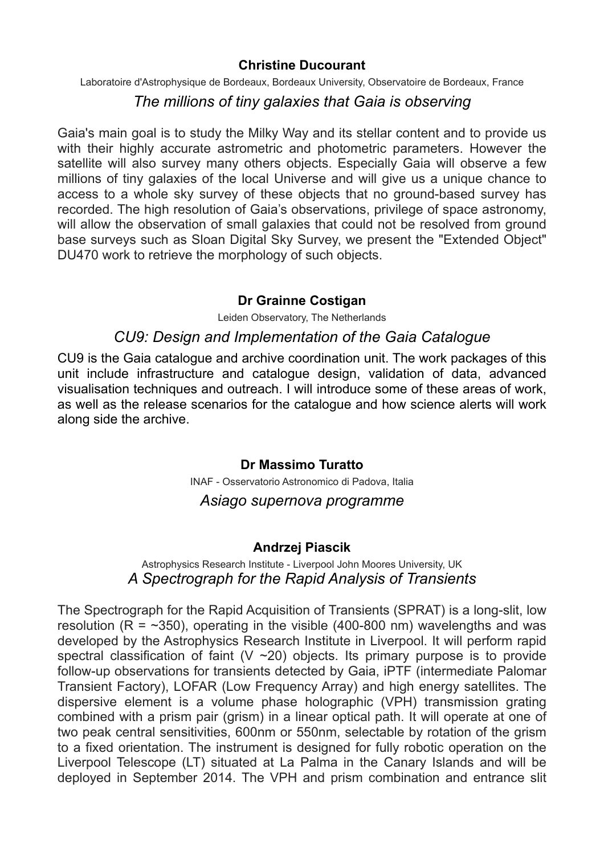#### **Christine Ducourant**

Laboratoire d'Astrophysique de Bordeaux, Bordeaux University, Observatoire de Bordeaux, France

# *The millions of tiny galaxies that Gaia is observing*

Gaia's main goal is to study the Milky Way and its stellar content and to provide us with their highly accurate astrometric and photometric parameters. However the satellite will also survey many others objects. Especially Gaia will observe a few millions of tiny galaxies of the local Universe and will give us a unique chance to access to a whole sky survey of these objects that no ground-based survey has recorded. The high resolution of Gaia's observations, privilege of space astronomy, will allow the observation of small galaxies that could not be resolved from ground base surveys such as Sloan Digital Sky Survey, we present the "Extended Object" DU470 work to retrieve the morphology of such objects.

## **Dr Grainne Costigan**

Leiden Observatory, The Netherlands

# *CU9: Design and Implementation of the Gaia Catalogue*

CU9 is the Gaia catalogue and archive coordination unit. The work packages of this unit include infrastructure and catalogue design, validation of data, advanced visualisation techniques and outreach. I will introduce some of these areas of work, as well as the release scenarios for the catalogue and how science alerts will work along side the archive.

## **Dr Massimo Turatto**

INAF - Osservatorio Astronomico di Padova, Italia

## *Asiago supernova programme*

## **Andrzej Piascik**

#### Astrophysics Research Institute - Liverpool John Moores University, UK *A Spectrograph for the Rapid Analysis of Transients*

The Spectrograph for the Rapid Acquisition of Transients (SPRAT) is a long-slit, low resolution ( $R = -350$ ), operating in the visible (400-800 nm) wavelengths and was developed by the Astrophysics Research Institute in Liverpool. It will perform rapid spectral classification of faint ( $V \sim 20$ ) objects. Its primary purpose is to provide follow-up observations for transients detected by Gaia, iPTF (intermediate Palomar Transient Factory), LOFAR (Low Frequency Array) and high energy satellites. The dispersive element is a volume phase holographic (VPH) transmission grating combined with a prism pair (grism) in a linear optical path. It will operate at one of two peak central sensitivities, 600nm or 550nm, selectable by rotation of the grism to a fixed orientation. The instrument is designed for fully robotic operation on the Liverpool Telescope (LT) situated at La Palma in the Canary Islands and will be deployed in September 2014. The VPH and prism combination and entrance slit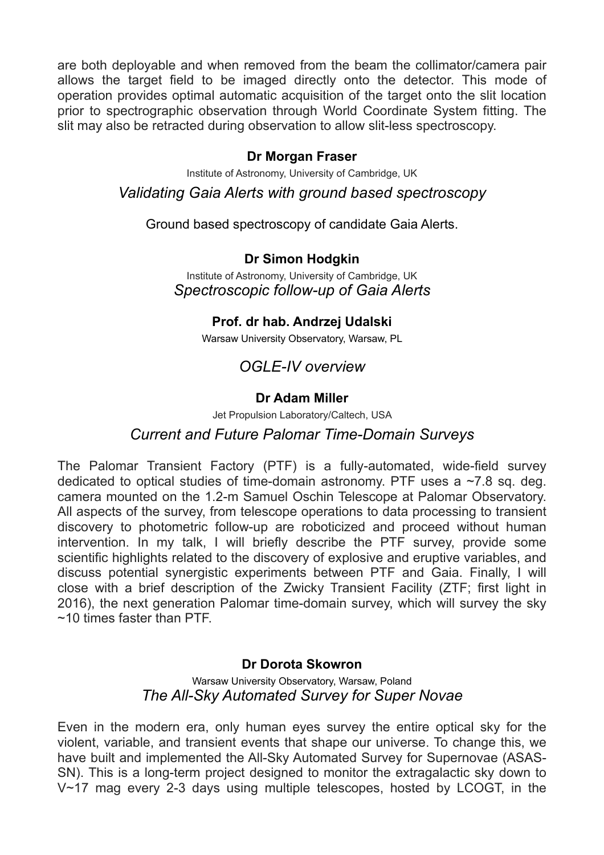are both deployable and when removed from the beam the collimator/camera pair allows the target field to be imaged directly onto the detector. This mode of operation provides optimal automatic acquisition of the target onto the slit location prior to spectrographic observation through World Coordinate System fitting. The slit may also be retracted during observation to allow slit-less spectroscopy.

## **Dr Morgan Fraser**

Institute of Astronomy, University of Cambridge, UK

*Validating Gaia Alerts with ground based spectroscopy* 

Ground based spectroscopy of candidate Gaia Alerts.

# **Dr Simon Hodgkin**

Institute of Astronomy, University of Cambridge, UK *Spectroscopic follow-up of Gaia Alerts* 

## **Prof. dr hab. Andrzej Udalski**

Warsaw University Observatory, Warsaw, PL

# *OGLE-IV overview*

# **Dr Adam Miller**

Jet Propulsion Laboratory/Caltech, USA

# *Current and Future Palomar Time-Domain Surveys*

The Palomar Transient Factory (PTF) is a fully-automated, wide-field survey dedicated to optical studies of time-domain astronomy. PTF uses a  $\sim$ 7.8 sq. deg. camera mounted on the 1.2-m Samuel Oschin Telescope at Palomar Observatory. All aspects of the survey, from telescope operations to data processing to transient discovery to photometric follow-up are roboticized and proceed without human intervention. In my talk, I will briefly describe the PTF survey, provide some scientific highlights related to the discovery of explosive and eruptive variables, and discuss potential synergistic experiments between PTF and Gaia. Finally, I will close with a brief description of the Zwicky Transient Facility (ZTF; first light in 2016), the next generation Palomar time-domain survey, which will survey the sky  $~10$  times faster than PTF

## **Dr Dorota Skowron**

Warsaw University Observatory, Warsaw, Poland *The All-Sky Automated Survey for Super Novae* 

Even in the modern era, only human eyes survey the entire optical sky for the violent, variable, and transient events that shape our universe. To change this, we have built and implemented the All-Sky Automated Survey for Supernovae (ASAS-SN). This is a long-term project designed to monitor the extragalactic sky down to V~17 mag every 2-3 days using multiple telescopes, hosted by LCOGT, in the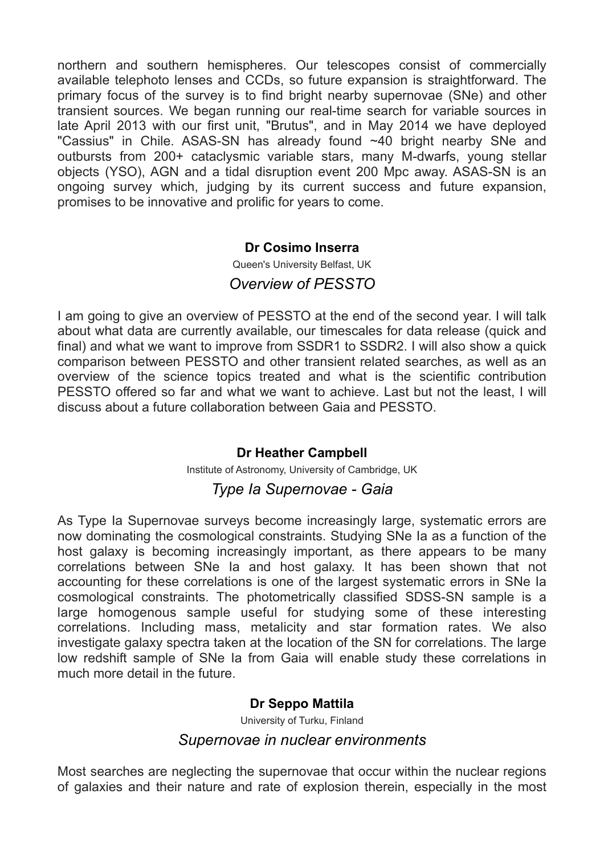northern and southern hemispheres. Our telescopes consist of commercially available telephoto lenses and CCDs, so future expansion is straightforward. The primary focus of the survey is to find bright nearby supernovae (SNe) and other transient sources. We began running our real-time search for variable sources in late April 2013 with our first unit, "Brutus", and in May 2014 we have deployed "Cassius" in Chile. ASAS-SN has already found ~40 bright nearby SNe and outbursts from 200+ cataclysmic variable stars, many M-dwarfs, young stellar objects (YSO), AGN and a tidal disruption event 200 Mpc away. ASAS-SN is an ongoing survey which, judging by its current success and future expansion, promises to be innovative and prolific for years to come.

#### **Dr Cosimo Inserra**

Queen's University Belfast, UK

## *Overview of PESSTO*

I am going to give an overview of PESSTO at the end of the second year. I will talk about what data are currently available, our timescales for data release (quick and final) and what we want to improve from SSDR1 to SSDR2. I will also show a quick comparison between PESSTO and other transient related searches, as well as an overview of the science topics treated and what is the scientific contribution PESSTO offered so far and what we want to achieve. Last but not the least, I will discuss about a future collaboration between Gaia and PESSTO.

## **Dr Heather Campbell**

Institute of Astronomy, University of Cambridge, UK

## *Type Ia Supernovae - Gaia*

As Type Ia Supernovae surveys become increasingly large, systematic errors are now dominating the cosmological constraints. Studying SNe Ia as a function of the host galaxy is becoming increasingly important, as there appears to be many correlations between SNe Ia and host galaxy. It has been shown that not accounting for these correlations is one of the largest systematic errors in SNe Ia cosmological constraints. The photometrically classified SDSS-SN sample is a large homogenous sample useful for studying some of these interesting correlations. Including mass, metalicity and star formation rates. We also investigate galaxy spectra taken at the location of the SN for correlations. The large low redshift sample of SNe Ia from Gaia will enable study these correlations in much more detail in the future.

#### **Dr Seppo Mattila**

University of Turku, Finland

#### *Supernovae in nuclear environments*

Most searches are neglecting the supernovae that occur within the nuclear regions of galaxies and their nature and rate of explosion therein, especially in the most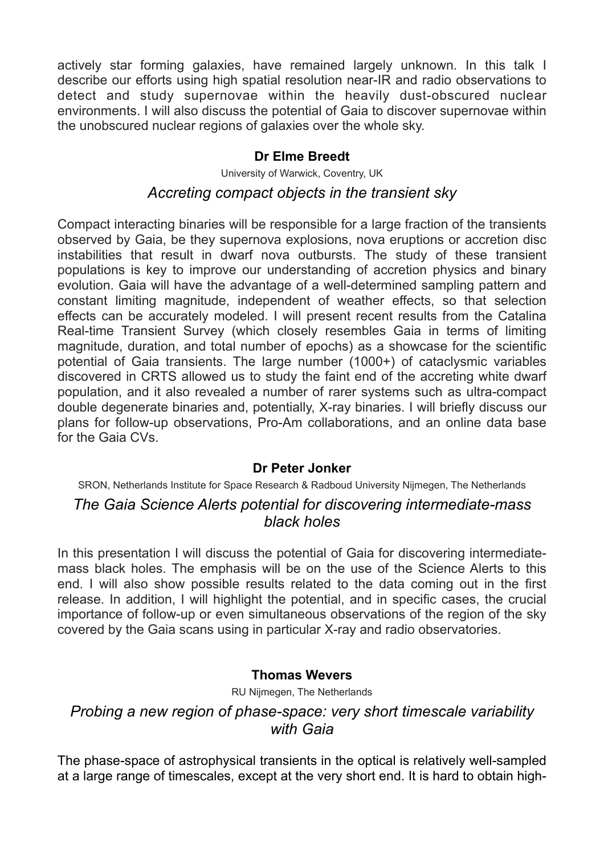actively star forming galaxies, have remained largely unknown. In this talk I describe our efforts using high spatial resolution near-IR and radio observations to detect and study supernovae within the heavily dust-obscured nuclear environments. I will also discuss the potential of Gaia to discover supernovae within the unobscured nuclear regions of galaxies over the whole sky.

## **Dr Elme Breedt**

University of Warwick, Coventry, UK

## *Accreting compact objects in the transient sky*

Compact interacting binaries will be responsible for a large fraction of the transients observed by Gaia, be they supernova explosions, nova eruptions or accretion disc instabilities that result in dwarf nova outbursts. The study of these transient populations is key to improve our understanding of accretion physics and binary evolution. Gaia will have the advantage of a well-determined sampling pattern and constant limiting magnitude, independent of weather effects, so that selection effects can be accurately modeled. I will present recent results from the Catalina Real-time Transient Survey (which closely resembles Gaia in terms of limiting magnitude, duration, and total number of epochs) as a showcase for the scientific potential of Gaia transients. The large number (1000+) of cataclysmic variables discovered in CRTS allowed us to study the faint end of the accreting white dwarf population, and it also revealed a number of rarer systems such as ultra-compact double degenerate binaries and, potentially, X-ray binaries. I will briefly discuss our plans for follow-up observations, Pro-Am collaborations, and an online data base for the Gaia CVs.

#### **Dr Peter Jonker**

SRON, Netherlands Institute for Space Research & Radboud University Nijmegen, The Netherlands

# *The Gaia Science Alerts potential for discovering intermediate-mass black holes*

In this presentation I will discuss the potential of Gaia for discovering intermediatemass black holes. The emphasis will be on the use of the Science Alerts to this end. I will also show possible results related to the data coming out in the first release. In addition, I will highlight the potential, and in specific cases, the crucial importance of follow-up or even simultaneous observations of the region of the sky covered by the Gaia scans using in particular X-ray and radio observatories.

## **Thomas Wevers**

RU Nijmegen, The Netherlands

# *Probing a new region of phase-space: very short timescale variability with Gaia*

The phase-space of astrophysical transients in the optical is relatively well-sampled at a large range of timescales, except at the very short end. It is hard to obtain high-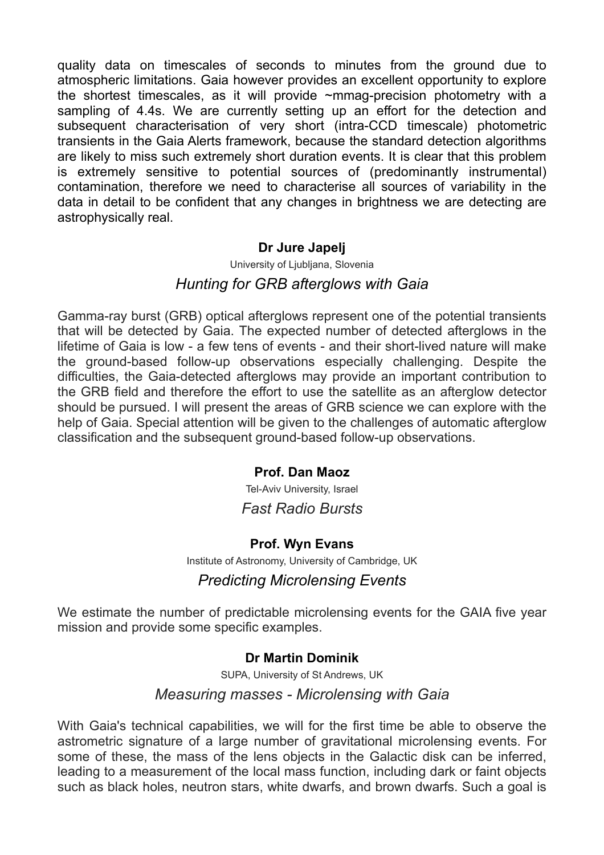quality data on timescales of seconds to minutes from the ground due to atmospheric limitations. Gaia however provides an excellent opportunity to explore the shortest timescales, as it will provide ~mmag-precision photometry with a sampling of 4.4s. We are currently setting up an effort for the detection and subsequent characterisation of very short (intra-CCD timescale) photometric transients in the Gaia Alerts framework, because the standard detection algorithms are likely to miss such extremely short duration events. It is clear that this problem is extremely sensitive to potential sources of (predominantly instrumental) contamination, therefore we need to characterise all sources of variability in the data in detail to be confident that any changes in brightness we are detecting are astrophysically real.

#### **Dr Jure Japelj**

University of Liubliana, Slovenia

# *Hunting for GRB afterglows with Gaia*

Gamma-ray burst (GRB) optical afterglows represent one of the potential transients that will be detected by Gaia. The expected number of detected afterglows in the lifetime of Gaia is low - a few tens of events - and their short-lived nature will make the ground-based follow-up observations especially challenging. Despite the difficulties, the Gaia-detected afterglows may provide an important contribution to the GRB field and therefore the effort to use the satellite as an afterglow detector should be pursued. I will present the areas of GRB science we can explore with the help of Gaia. Special attention will be given to the challenges of automatic afterglow classification and the subsequent ground-based follow-up observations.

## **Prof. Dan Maoz**

Tel-Aviv University, Israel *Fast Radio Bursts* 

## **Prof. Wyn Evans**

Institute of Astronomy, University of Cambridge, UK

## *Predicting Microlensing Events*

We estimate the number of predictable microlensing events for the GAIA five year mission and provide some specific examples.

#### **Dr Martin Dominik**

SUPA, University of St Andrews, UK

## *Measuring masses - Microlensing with Gaia*

With Gaia's technical capabilities, we will for the first time be able to observe the astrometric signature of a large number of gravitational microlensing events. For some of these, the mass of the lens objects in the Galactic disk can be inferred, leading to a measurement of the local mass function, including dark or faint objects such as black holes, neutron stars, white dwarfs, and brown dwarfs. Such a goal is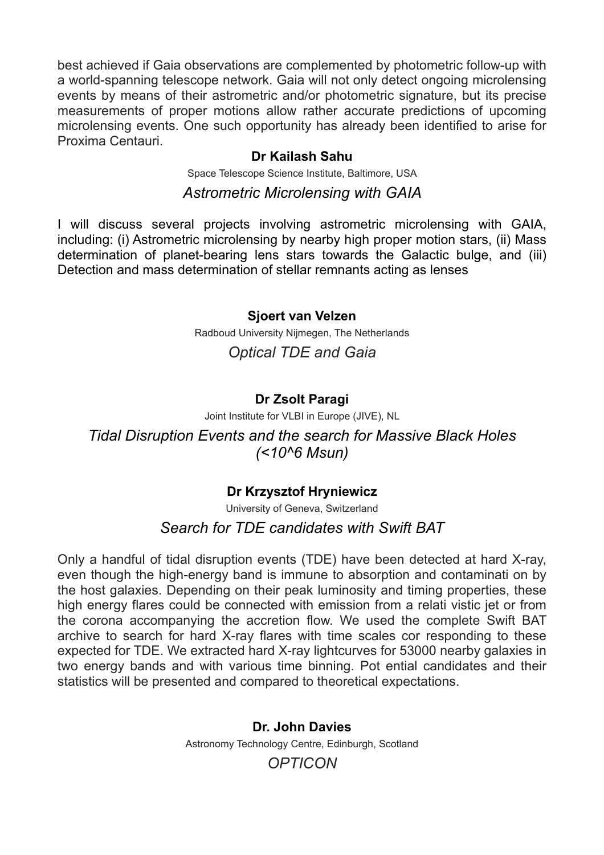best achieved if Gaia observations are complemented by photometric follow-up with a world-spanning telescope network. Gaia will not only detect ongoing microlensing events by means of their astrometric and/or photometric signature, but its precise measurements of proper motions allow rather accurate predictions of upcoming microlensing events. One such opportunity has already been identified to arise for Proxima Centauri.

#### **Dr Kailash Sahu**

Space Telescope Science Institute, Baltimore, USA

## *Astrometric Microlensing with GAIA*

I will discuss several projects involving astrometric microlensing with GAIA, including: (i) Astrometric microlensing by nearby high proper motion stars, (ii) Mass determination of planet-bearing lens stars towards the Galactic bulge, and (iii) Detection and mass determination of stellar remnants acting as lenses

#### **Sjoert van Velzen**

Radboud University Nijmegen, The Netherlands

# *Optical TDE and Gaia*

# **Dr Zsolt Paragi**

Joint Institute for VLBI in Europe (JIVE), NL

*Tidal Disruption Events and the search for Massive Black Holes (<10^6 Msun)*

# **Dr Krzysztof Hryniewicz**

University of Geneva, Switzerland *Search for TDE candidates with Swift BAT* 

Only a handful of tidal disruption events (TDE) have been detected at hard X-ray, even though the high-energy band is immune to absorption and contaminati on by the host galaxies. Depending on their peak luminosity and timing properties, these high energy flares could be connected with emission from a relati vistic jet or from the corona accompanying the accretion flow. We used the complete Swift BAT archive to search for hard X-ray flares with time scales cor responding to these expected for TDE. We extracted hard X-ray lightcurves for 53000 nearby galaxies in two energy bands and with various time binning. Pot ential candidates and their statistics will be presented and compared to theoretical expectations.

> **Dr. John Davies** Astronomy Technology Centre, Edinburgh, Scotland

# *OPTICON*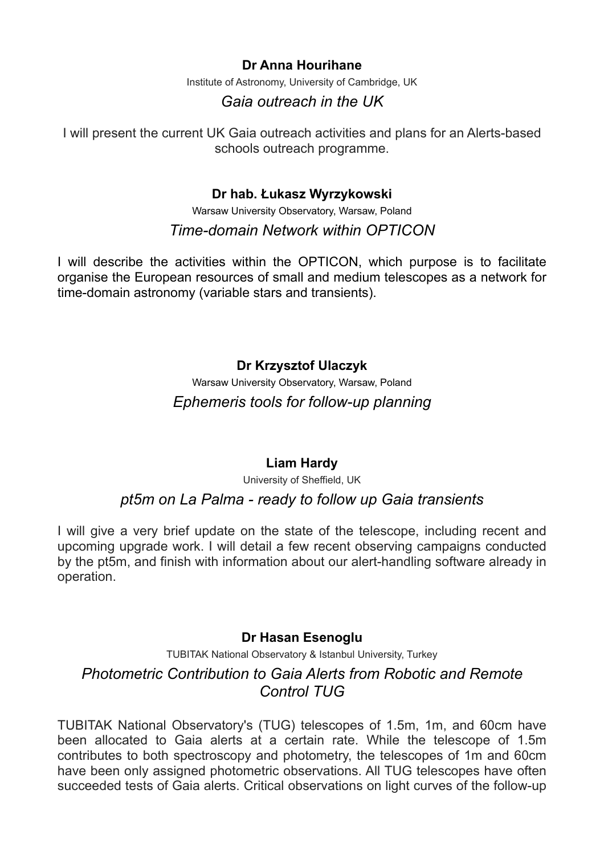## **Dr Anna Hourihane**

Institute of Astronomy, University of Cambridge, UK

# *Gaia outreach in the UK*

I will present the current UK Gaia outreach activities and plans for an Alerts-based schools outreach programme.

#### **Dr hab. Łukasz Wyrzykowski**

Warsaw University Observatory, Warsaw, Poland *Time-domain Network within OPTICON* 

I will describe the activities within the OPTICON, which purpose is to facilitate organise the European resources of small and medium telescopes as a network for time-domain astronomy (variable stars and transients).

# **Dr Krzysztof Ulaczyk**

Warsaw University Observatory, Warsaw, Poland *Ephemeris tools for follow-up planning*

## **Liam Hardy**

University of Sheffield, UK

## *pt5m on La Palma - ready to follow up Gaia transients*

I will give a very brief update on the state of the telescope, including recent and upcoming upgrade work. I will detail a few recent observing campaigns conducted by the pt5m, and finish with information about our alert-handling software already in operation.

#### **Dr Hasan Esenoglu**

TUBITAK National Observatory & Istanbul University, Turkey

# *Photometric Contribution to Gaia Alerts from Robotic and Remote Control TUG*

TUBITAK National Observatory's (TUG) telescopes of 1.5m, 1m, and 60cm have been allocated to Gaia alerts at a certain rate. While the telescope of 1.5m contributes to both spectroscopy and photometry, the telescopes of 1m and 60cm have been only assigned photometric observations. All TUG telescopes have often succeeded tests of Gaia alerts. Critical observations on light curves of the follow-up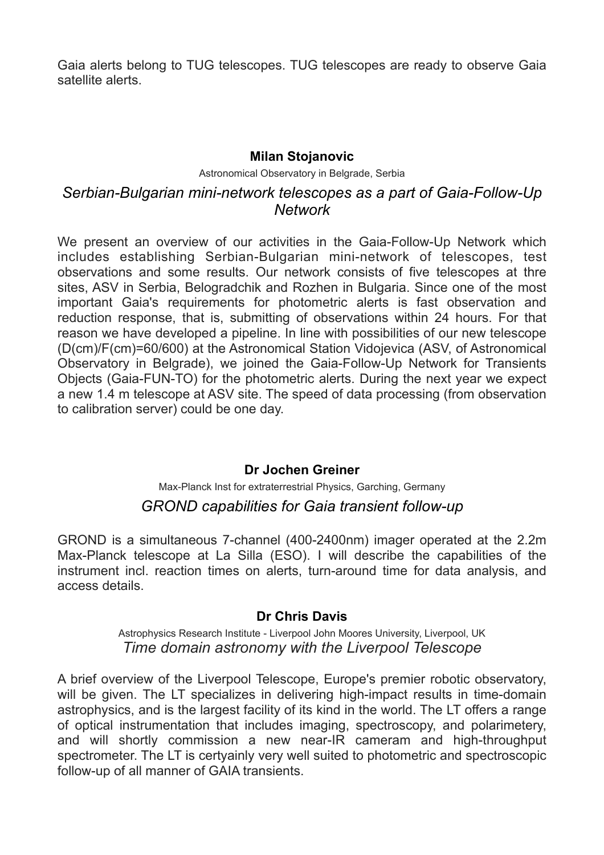Gaia alerts belong to TUG telescopes. TUG telescopes are ready to observe Gaia satellite alerts.

#### **Milan Stojanovic**

Astronomical Observatory in Belgrade, Serbia

# *Serbian-Bulgarian mini-network telescopes as a part of Gaia-Follow-Up Network*

We present an overview of our activities in the Gaia-Follow-Up Network which includes establishing Serbian-Bulgarian mini-network of telescopes, test observations and some results. Our network consists of five telescopes at thre sites, ASV in Serbia, Belogradchik and Rozhen in Bulgaria. Since one of the most important Gaia's requirements for photometric alerts is fast observation and reduction response, that is, submitting of observations within 24 hours. For that reason we have developed a pipeline. In line with possibilities of our new telescope (D(cm)/F(cm)=60/600) at the Astronomical Station Vidojevica (ASV, of Astronomical Observatory in Belgrade), we joined the Gaia-Follow-Up Network for Transients Objects (Gaia-FUN-TO) for the photometric alerts. During the next year we expect a new 1.4 m telescope at ASV site. The speed of data processing (from observation to calibration server) could be one day.

## **Dr Jochen Greiner**

# Max-Planck Inst for extraterrestrial Physics, Garching, Germany *GROND capabilities for Gaia transient follow-up*

GROND is a simultaneous 7-channel (400-2400nm) imager operated at the 2.2m Max-Planck telescope at La Silla (ESO). I will describe the capabilities of the instrument incl. reaction times on alerts, turn-around time for data analysis, and access details.

#### **Dr Chris Davis**

Astrophysics Research Institute - Liverpool John Moores University, Liverpool, UK *Time domain astronomy with the Liverpool Telescope* 

A brief overview of the Liverpool Telescope, Europe's premier robotic observatory, will be given. The LT specializes in delivering high-impact results in time-domain astrophysics, and is the largest facility of its kind in the world. The LT offers a range of optical instrumentation that includes imaging, spectroscopy, and polarimetery, and will shortly commission a new near-IR cameram and high-throughput spectrometer. The LT is certyainly very well suited to photometric and spectroscopic follow-up of all manner of GAIA transients.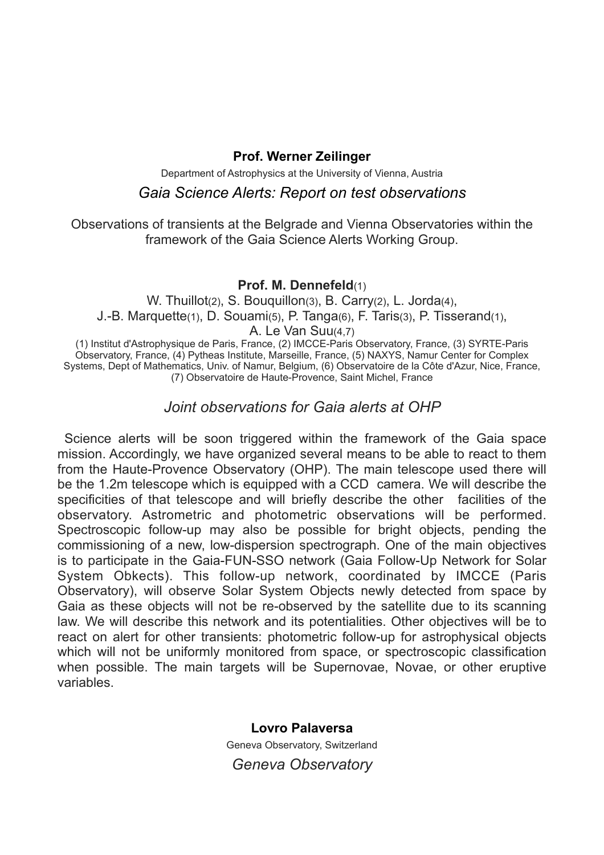#### **Prof. Werner Zeilinger**

Department of Astrophysics at the University of Vienna, Austria

#### *Gaia Science Alerts: Report on test observations*

Observations of transients at the Belgrade and Vienna Observatories within the framework of the Gaia Science Alerts Working Group.

#### **Prof. M. Dennefeld**(1)

W. Thuillot(2), S. Bouquillon(3), B. Carry(2), L. Jorda(4), J.-B. Marquette(1), D. Souami(5), P. Tanga(6), F. Taris(3), P. Tisserand(1), A. Le Van Suu(4,7)

(1) Institut d'Astrophysique de Paris, France, (2) IMCCE-Paris Observatory, France, (3) SYRTE-Paris Observatory, France, (4) Pytheas Institute, Marseille, France, (5) NAXYS, Namur Center for Complex Systems, Dept of Mathematics, Univ. of Namur, Belgium, (6) Observatoire de la Côte d'Azur, Nice, France, (7) Observatoire de Haute-Provence, Saint Michel, France

## *Joint observations for Gaia alerts at OHP*

 Science alerts will be soon triggered within the framework of the Gaia space mission. Accordingly, we have organized several means to be able to react to them from the Haute-Provence Observatory (OHP). The main telescope used there will be the 1.2m telescope which is equipped with a CCD camera. We will describe the specificities of that telescope and will briefly describe the other facilities of the observatory. Astrometric and photometric observations will be performed. Spectroscopic follow-up may also be possible for bright objects, pending the commissioning of a new, low-dispersion spectrograph. One of the main objectives is to participate in the Gaia-FUN-SSO network (Gaia Follow-Up Network for Solar System Obkects). This follow-up network, coordinated by IMCCE (Paris Observatory), will observe Solar System Objects newly detected from space by Gaia as these objects will not be re-observed by the satellite due to its scanning law. We will describe this network and its potentialities. Other objectives will be to react on alert for other transients: photometric follow-up for astrophysical objects which will not be uniformly monitored from space, or spectroscopic classification when possible. The main targets will be Supernovae, Novae, or other eruptive variables.

> **Lovro Palaversa**  Geneva Observatory, Switzerland *Geneva Observatory*